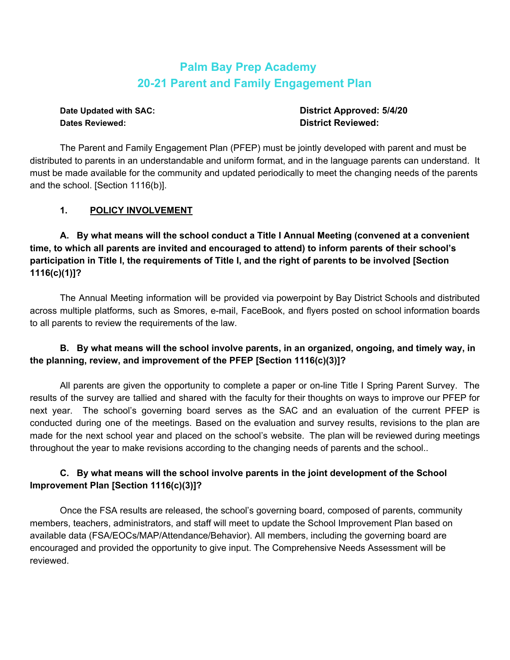# **Palm Bay Prep Academy 20-21 Parent and Family Engagement Plan**

**Dates Reviewed: District Reviewed:**

**Date Updated with SAC: District Approved: 5/4/20**

The Parent and Family Engagement Plan (PFEP) must be jointly developed with parent and must be distributed to parents in an understandable and uniform format, and in the language parents can understand. It must be made available for the community and updated periodically to meet the changing needs of the parents and the school. [Section 1116(b)].

### **1. POLICY INVOLVEMENT**

**A. By what means will the school conduct a Title I Annual Meeting (convened at a convenient time, to which all parents are invited and encouraged to attend) to inform parents of their school's** participation in Title I, the requirements of Title I, and the right of parents to be involved [Section **1116(c)(1)]?**

The Annual Meeting information will be provided via powerpoint by Bay District Schools and distributed across multiple platforms, such as Smores, e-mail, FaceBook, and flyers posted on school information boards to all parents to review the requirements of the law.

# **B. By what means will the school involve parents, in an organized, ongoing, and timely way, in the planning, review, and improvement of the PFEP [Section 1116(c)(3)]?**

All parents are given the opportunity to complete a paper or on-line Title I Spring Parent Survey. The results of the survey are tallied and shared with the faculty for their thoughts on ways to improve our PFEP for next year. The school's governing board serves as the SAC and an evaluation of the current PFEP is conducted during one of the meetings. Based on the evaluation and survey results, revisions to the plan are made for the next school year and placed on the school's website. The plan will be reviewed during meetings throughout the year to make revisions according to the changing needs of parents and the school..

# **C. By what means will the school involve parents in the joint development of the School Improvement Plan [Section 1116(c)(3)]?**

Once the FSA results are released, the school's governing board, composed of parents, community members, teachers, administrators, and staff will meet to update the School Improvement Plan based on available data (FSA/EOCs/MAP/Attendance/Behavior). All members, including the governing board are encouraged and provided the opportunity to give input. The Comprehensive Needs Assessment will be reviewed.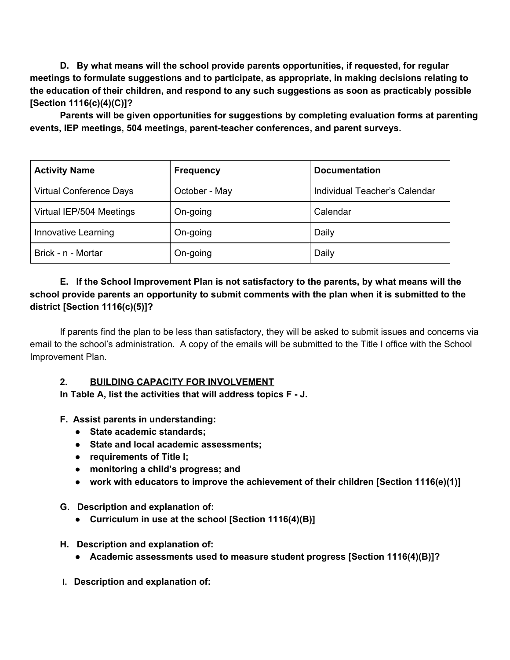**D. By what means will the school provide parents opportunities, if requested, for regular meetings to formulate suggestions and to participate, as appropriate, in making decisions relating to the education of their children, and respond to any such suggestions as soon as practicably possible [Section 1116(c)(4)(C)]?**

**Parents will be given opportunities for suggestions by completing evaluation forms at parenting events, IEP meetings, 504 meetings, parent-teacher conferences, and parent surveys.**

| <b>Activity Name</b>           | <b>Frequency</b> | <b>Documentation</b>          |
|--------------------------------|------------------|-------------------------------|
| <b>Virtual Conference Days</b> | October - May    | Individual Teacher's Calendar |
| Virtual IEP/504 Meetings       | On-going         | Calendar                      |
| Innovative Learning            | On-going         | Daily                         |
| Brick - n - Mortar             | On-going         | Daily                         |

# **E. If the School Improvement Plan is not satisfactory to the parents, by what means will the school provide parents an opportunity to submit comments with the plan when it is submitted to the district [Section 1116(c)(5)]?**

If parents find the plan to be less than satisfactory, they will be asked to submit issues and concerns via email to the school's administration. A copy of the emails will be submitted to the Title I office with the School Improvement Plan.

### **2. BUILDING CAPACITY FOR INVOLVEMENT**

**In Table A, list the activities that will address topics F - J.**

# **F. Assist parents in understanding:**

- **● State academic standards;**
- **● State and local academic assessments;**
- **● requirements of Title I;**
- **● monitoring a child's progress; and**
- **● work with educators to improve the achievement of their children [Section 1116(e)(1)]**

### **G. Description and explanation of:**

**● Curriculum in use at the school [Section 1116(4)(B)]**

### **H. Description and explanation of:**

- **● Academic assessments used to measure student progress [Section 1116(4)(B)]?**
- **I. Description and explanation of:**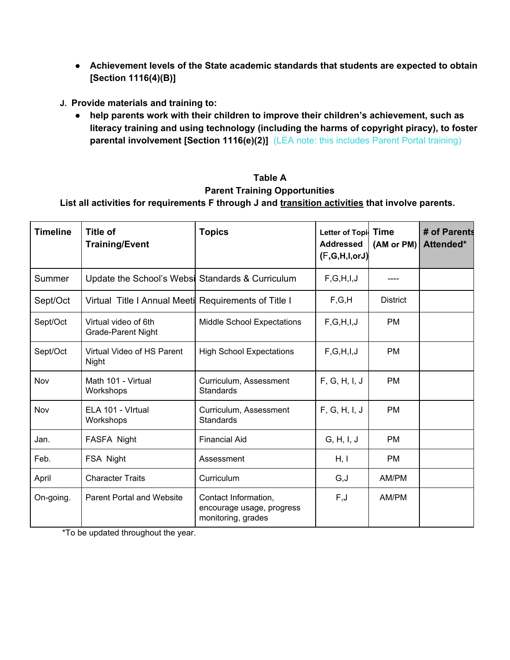- **● Achievement levels of the State academic standards that students are expected to obtain [Section 1116(4)(B)]**
- **J. Provide materials and training to:**
	- **help parents work with their children to improve their children's achievement, such as literacy training and using technology (including the harms of copyright piracy), to foster parental involvement [Section 1116(e)(2)]** (LEA note: this includes Parent Portal training)

# **Table A Parent Training Opportunities**

**List all activities for requirements F through J and transition activities that involve parents.**

| <b>Timeline</b> | <b>Title of</b><br><b>Training/Event</b>             | <b>Topics</b>                                                           | Letter of Topi Time<br><b>Addressed</b><br>(F,G,H,I,orJ) | (AM or PM)      | # of Parents<br>Attended* |
|-----------------|------------------------------------------------------|-------------------------------------------------------------------------|----------------------------------------------------------|-----------------|---------------------------|
| Summer          | Update the School's Websi Standards & Curriculum     |                                                                         | F,G,H,I,J                                                |                 |                           |
| Sept/Oct        | Virtual Title I Annual Meeti Requirements of Title I |                                                                         | F, G, H                                                  | <b>District</b> |                           |
| Sept/Oct        | Virtual video of 6th<br><b>Grade-Parent Night</b>    | <b>Middle School Expectations</b>                                       | F,G,H,I,J                                                | <b>PM</b>       |                           |
| Sept/Oct        | Virtual Video of HS Parent<br>Night                  | <b>High School Expectations</b>                                         | F, G, H, I, J                                            | <b>PM</b>       |                           |
| Nov             | Math 101 - Virtual<br>Workshops                      | Curriculum, Assessment<br><b>Standards</b>                              | F, G, H, I, J                                            | <b>PM</b>       |                           |
| Nov             | ELA 101 - Virtual<br>Workshops                       | Curriculum, Assessment<br><b>Standards</b>                              | F, G, H, I, J                                            | <b>PM</b>       |                           |
| Jan.            | FASFA Night                                          | <b>Financial Aid</b>                                                    | G, H, I, J                                               | <b>PM</b>       |                           |
| Feb.            | FSA Night                                            | Assessment                                                              | H, I                                                     | <b>PM</b>       |                           |
| April           | <b>Character Traits</b>                              | Curriculum                                                              | G,J                                                      | AM/PM           |                           |
| On-going.       | <b>Parent Portal and Website</b>                     | Contact Information,<br>encourage usage, progress<br>monitoring, grades | F, J                                                     | AM/PM           |                           |

\*To be updated throughout the year.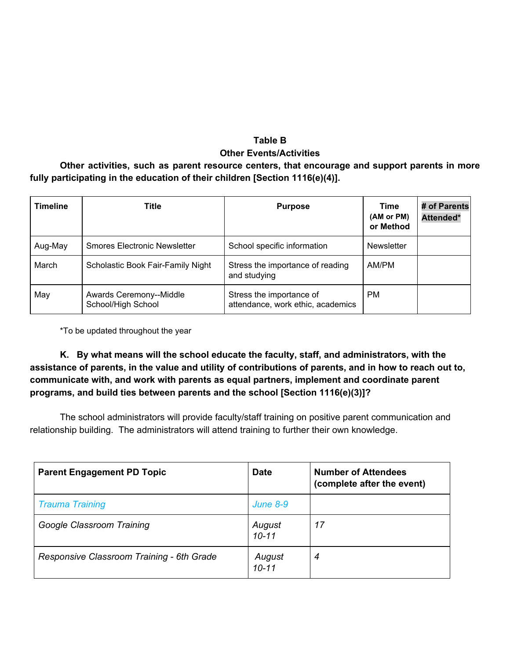# **Table B Other Events/Activities**

**Other activities, such as parent resource centers, that encourage and support parents in more fully participating in the education of their children [Section 1116(e)(4)].**

| <b>Timeline</b> | <b>Title</b>                                  | <b>Purpose</b>                                                | Time<br>(AM or PM)<br>or Method | # of Parents<br>Attended* |
|-----------------|-----------------------------------------------|---------------------------------------------------------------|---------------------------------|---------------------------|
| Aug-May         | <b>Smores Electronic Newsletter</b>           | School specific information                                   | <b>Newsletter</b>               |                           |
| March           | Scholastic Book Fair-Family Night             | Stress the importance of reading<br>and studying              | AM/PM                           |                           |
| May             | Awards Ceremony--Middle<br>School/High School | Stress the importance of<br>attendance, work ethic, academics | PM.                             |                           |

\*To be updated throughout the year

**K. By what means will the school educate the faculty, staff, and administrators, with the** assistance of parents, in the value and utility of contributions of parents, and in how to reach out to, **communicate with, and work with parents as equal partners, implement and coordinate parent programs, and build ties between parents and the school [Section 1116(e)(3)]?**

The school administrators will provide faculty/staff training on positive parent communication and relationship building. The administrators will attend training to further their own knowledge.

| <b>Parent Engagement PD Topic</b>         | <b>Date</b>         | <b>Number of Attendees</b><br>(complete after the event) |
|-------------------------------------------|---------------------|----------------------------------------------------------|
| <b>Trauma Training</b>                    | <b>June 8-9</b>     |                                                          |
| Google Classroom Training                 | August<br>$10 - 11$ | 17                                                       |
| Responsive Classroom Training - 6th Grade | August<br>$10 - 11$ | 4                                                        |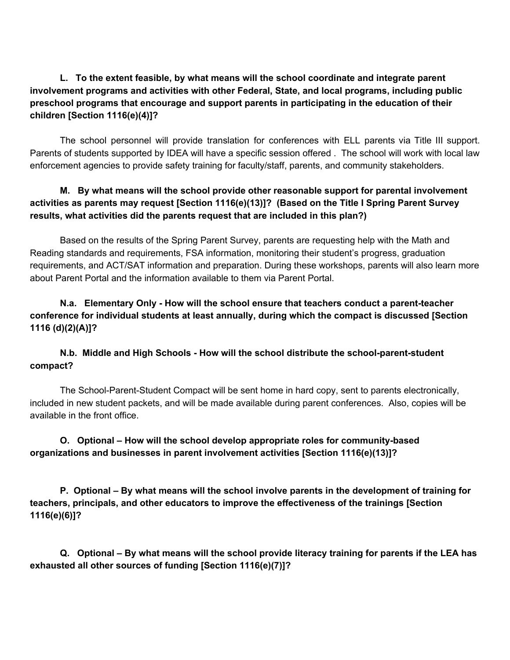**L. To the extent feasible, by what means will the school coordinate and integrate parent involvement programs and activities with other Federal, State, and local programs, including public preschool programs that encourage and support parents in participating in the education of their children [Section 1116(e)(4)]?**

The school personnel will provide translation for conferences with ELL parents via Title III support. Parents of students supported by IDEA will have a specific session offered . The school will work with local law enforcement agencies to provide safety training for faculty/staff, parents, and community stakeholders.

### **M. By what means will the school provide other reasonable support for parental involvement activities as parents may request [Section 1116(e)(13)]? (Based on the Title I Spring Parent Survey results, what activities did the parents request that are included in this plan?)**

Based on the results of the Spring Parent Survey, parents are requesting help with the Math and Reading standards and requirements, FSA information, monitoring their student's progress, graduation requirements, and ACT/SAT information and preparation. During these workshops, parents will also learn more about Parent Portal and the information available to them via Parent Portal.

**N.a. Elementary Only - How will the school ensure that teachers conduct a parent-teacher conference for individual students at least annually, during which the compact is discussed [Section 1116 (d)(2)(A)]?**

### **N.b. Middle and High Schools - How will the school distribute the school-parent-student compact?**

The School-Parent-Student Compact will be sent home in hard copy, sent to parents electronically, included in new student packets, and will be made available during parent conferences. Also, copies will be available in the front office.

# **O. Optional – How will the school develop appropriate roles for community-based organizations and businesses in parent involvement activities [Section 1116(e)(13)]?**

**P. Optional – By what means will the school involve parents in the development of training for teachers, principals, and other educators to improve the effectiveness of the trainings [Section 1116(e)(6)]?**

**Q. Optional – By what means will the school provide literacy training for parents if the LEA has exhausted all other sources of funding [Section 1116(e)(7)]?**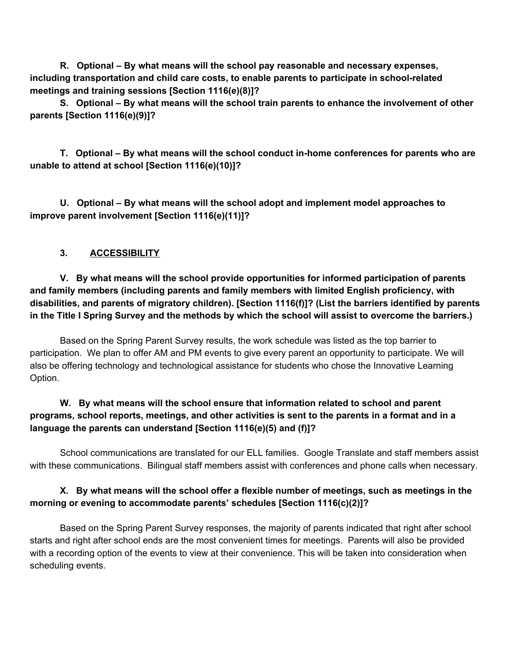**R. Optional – By what means will the school pay reasonable and necessary expenses, including transportation and child care costs, to enable parents to participate in school-related meetings and training sessions [Section 1116(e)(8)]?**

**S. Optional – By what means will the school train parents to enhance the involvement of other parents [Section 1116(e)(9)]?**

**T. Optional – By what means will the school conduct in-home conferences for parents who are unable to attend at school [Section 1116(e)(10)]?**

**U. Optional – By what means will the school adopt and implement model approaches to improve parent involvement [Section 1116(e)(11)]?**

### **3. ACCESSIBILITY**

**V. By what means will the school provide opportunities for informed participation of parents and family members (including parents and family members with limited English proficiency, with disabilities, and parents of migratory children). [Section 1116(f)]? (List the barriers identified by parents** in the Title I Spring Survey and the methods by which the school will assist to overcome the barriers.)

Based on the Spring Parent Survey results, the work schedule was listed as the top barrier to participation. We plan to offer AM and PM events to give every parent an opportunity to participate. We will also be offering technology and technological assistance for students who chose the Innovative Learning Option.

# **W. By what means will the school ensure that information related to school and parent** programs, school reports, meetings, and other activities is sent to the parents in a format and in a **language the parents can understand [Section 1116(e)(5) and (f)]?**

School communications are translated for our ELL families. Google Translate and staff members assist with these communications. Bilingual staff members assist with conferences and phone calls when necessary.

### **X. By what means will the school offer a flexible number of meetings, such as meetings in the morning or evening to accommodate parents' schedules [Section 1116(c)(2)]?**

Based on the Spring Parent Survey responses, the majority of parents indicated that right after school starts and right after school ends are the most convenient times for meetings. Parents will also be provided with a recording option of the events to view at their convenience. This will be taken into consideration when scheduling events.